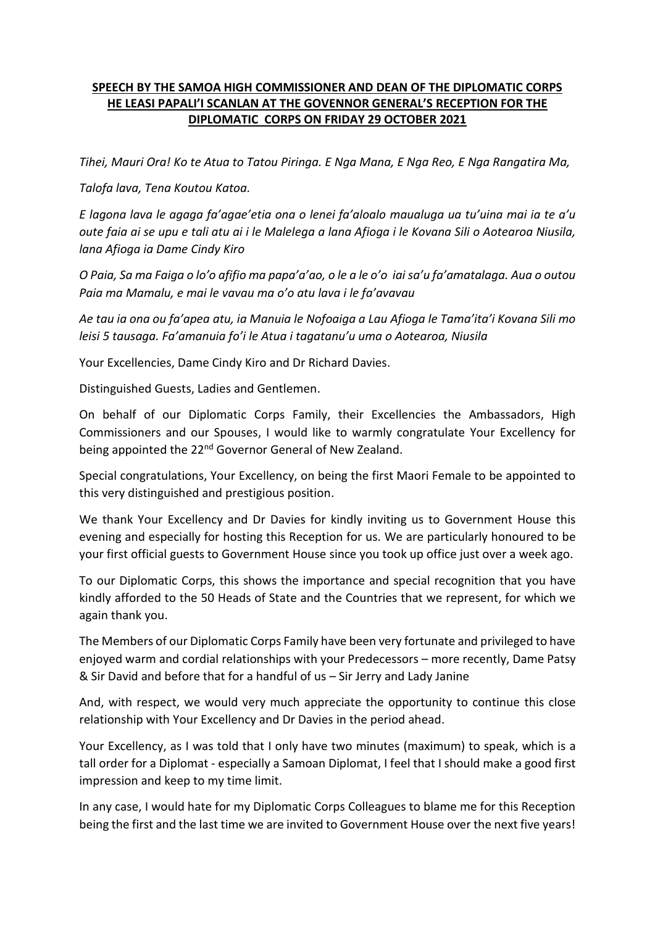## **SPEECH BY THE SAMOA HIGH COMMISSIONER AND DEAN OF THE DIPLOMATIC CORPS HE LEASI PAPALI'I SCANLAN AT THE GOVENNOR GENERAL'S RECEPTION FOR THE DIPLOMATIC CORPS ON FRIDAY 29 OCTOBER 2021**

*Tihei, Mauri Ora! Ko te Atua to Tatou Piringa. E Nga Mana, E Nga Reo, E Nga Rangatira Ma,*

*Talofa lava, Tena Koutou Katoa.*

*E lagona lava le agaga fa'agae'etia ona o lenei fa'aloalo maualuga ua tu'uina mai ia te a'u oute faia ai se upu e tali atu ai i le Malelega a lana Afioga i le Kovana Sili o Aotearoa Niusila, lana Afioga ia Dame Cindy Kiro*

*O Paia, Sa ma Faiga o lo'o afifio ma papa'a'ao, o le a le o'o iai sa'u fa'amatalaga. Aua o outou Paia ma Mamalu, e mai le vavau ma o'o atu lava i le fa'avavau*

*Ae tau ia ona ou fa'apea atu, ia Manuia le Nofoaiga a Lau Afioga le Tama'ita'i Kovana Sili mo leisi 5 tausaga. Fa'amanuia fo'i le Atua i tagatanu'u uma o Aotearoa, Niusila*

Your Excellencies, Dame Cindy Kiro and Dr Richard Davies.

Distinguished Guests, Ladies and Gentlemen.

On behalf of our Diplomatic Corps Family, their Excellencies the Ambassadors, High Commissioners and our Spouses, I would like to warmly congratulate Your Excellency for being appointed the 22<sup>nd</sup> Governor General of New Zealand.

Special congratulations, Your Excellency, on being the first Maori Female to be appointed to this very distinguished and prestigious position.

We thank Your Excellency and Dr Davies for kindly inviting us to Government House this evening and especially for hosting this Reception for us. We are particularly honoured to be your first official guests to Government House since you took up office just over a week ago.

To our Diplomatic Corps, this shows the importance and special recognition that you have kindly afforded to the 50 Heads of State and the Countries that we represent, for which we again thank you.

The Members of our Diplomatic Corps Family have been very fortunate and privileged to have enjoyed warm and cordial relationships with your Predecessors – more recently, Dame Patsy & Sir David and before that for a handful of us – Sir Jerry and Lady Janine

And, with respect, we would very much appreciate the opportunity to continue this close relationship with Your Excellency and Dr Davies in the period ahead.

Your Excellency, as I was told that I only have two minutes (maximum) to speak, which is a tall order for a Diplomat - especially a Samoan Diplomat, I feel that I should make a good first impression and keep to my time limit.

In any case, I would hate for my Diplomatic Corps Colleagues to blame me for this Reception being the first and the last time we are invited to Government House over the next five years!